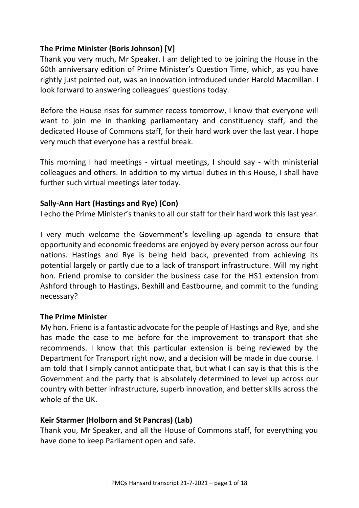# **The Prime Minister (Boris Johnson) [V]**

Thank you very much, Mr Speaker. I am delighted to be joining the House in the 60th anniversary edition of Prime Minister's Question Time, which, as you have rightly just pointed out, was an innovation introduced under Harold Macmillan. I look forward to answering colleagues' questions today.

Before the House rises for summer recess tomorrow, I know that everyone will want to join me in thanking parliamentary and constituency staff, and the dedicated House of Commons staff, for their hard work over the last year. I hope very much that everyone has a restful break.

This morning I had meetings - virtual meetings, I should say - with ministerial colleagues and others. In addition to my virtual duties in this House, I shall have further such virtual meetings later today.

# **Sally-Ann Hart (Hastings and Rye) (Con)**

I echo the Prime Minister's thanks to all our staff for their hard work this last year.

I very much welcome the Government's levelling-up agenda to ensure that opportunity and economic freedoms are enjoyed by every person across our four nations. Hastings and Rye is being held back, prevented from achieving its potential largely or partly due to a lack of transport infrastructure. Will my right hon. Friend promise to consider the business case for the HS1 extension from Ashford through to Hastings, Bexhill and Eastbourne, and commit to the funding necessary?

#### **The Prime Minister**

My hon. Friend is a fantastic advocate for the people of Hastings and Rye, and she has made the case to me before for the improvement to transport that she recommends. I know that this particular extension is being reviewed by the Department for Transport right now, and a decision will be made in due course. I am told that I simply cannot anticipate that, but what I can say is that this is the Government and the party that is absolutely determined to level up across our country with better infrastructure, superb innovation, and better skills across the whole of the UK.

# **Keir Starmer (Holborn and St Pancras) (Lab)**

Thank you, Mr Speaker, and all the House of Commons staff, for everything you have done to keep Parliament open and safe.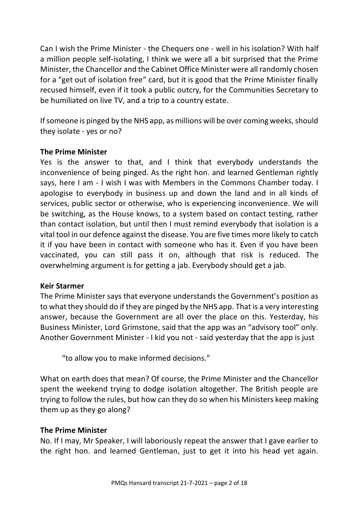Can I wish the Prime Minister - the Chequers one - well in his isolation? With half a million people self-isolating, I think we were all a bit surprised that the Prime Minister, the Chancellor and the Cabinet Office Minister were all randomly chosen for a "get out of isolation free" card, but it is good that the Prime Minister finally recused himself, even if it took a public outcry, for the Communities Secretary to be humiliated on live TV, and a trip to a country estate.

If someone is pinged by the NHS app, as millions will be over coming weeks, should they isolate - yes or no?

### **The Prime Minister**

Yes is the answer to that, and I think that everybody understands the inconvenience of being pinged. As the right hon. and learned Gentleman rightly says, here I am - I wish I was with Members in the Commons Chamber today. I apologise to everybody in business up and down the land and in all kinds of services, public sector or otherwise, who is experiencing inconvenience. We will be switching, as the House knows, to a system based on contact testing, rather than contact isolation, but until then I must remind everybody that isolation is a vital tool in our defence against the disease. You are five times more likely to catch it if you have been in contact with someone who has it. Even if you have been vaccinated, you can still pass it on, although that risk is reduced. The overwhelming argument is for getting a jab. Everybody should get a jab.

#### **Keir Starmer**

The Prime Minister says that everyone understands the Government's position as to what they should do if they are pinged by the NHS app. That is a very interesting answer, because the Government are all over the place on this. Yesterday, his Business Minister, Lord Grimstone, said that the app was an "advisory tool" only. Another Government Minister - I kid you not - said yesterday that the app is just

"to allow you to make informed decisions."

What on earth does that mean? Of course, the Prime Minister and the Chancellor spent the weekend trying to dodge isolation altogether. The British people are trying to follow the rules, but how can they do so when his Ministers keep making them up as they go along?

#### **The Prime Minister**

No. If I may, Mr Speaker, I will laboriously repeat the answer that I gave earlier to the right hon. and learned Gentleman, just to get it into his head yet again.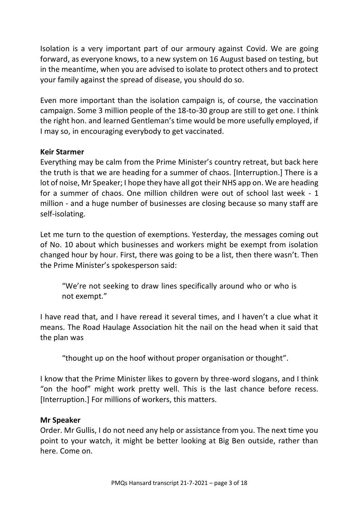Isolation is a very important part of our armoury against Covid. We are going forward, as everyone knows, to a new system on 16 August based on testing, but in the meantime, when you are advised to isolate to protect others and to protect your family against the spread of disease, you should do so.

Even more important than the isolation campaign is, of course, the vaccination campaign. Some 3 million people of the 18-to-30 group are still to get one. I think the right hon. and learned Gentleman's time would be more usefully employed, if I may so, in encouraging everybody to get vaccinated.

### **Keir Starmer**

Everything may be calm from the Prime Minister's country retreat, but back here the truth is that we are heading for a summer of chaos. [Interruption.] There is a lot of noise, Mr Speaker; I hope they have all got their NHS app on. We are heading for a summer of chaos. One million children were out of school last week - 1 million - and a huge number of businesses are closing because so many staff are self-isolating.

Let me turn to the question of exemptions. Yesterday, the messages coming out of No. 10 about which businesses and workers might be exempt from isolation changed hour by hour. First, there was going to be a list, then there wasn't. Then the Prime Minister's spokesperson said:

"We're not seeking to draw lines specifically around who or who is not exempt."

I have read that, and I have reread it several times, and I haven't a clue what it means. The Road Haulage Association hit the nail on the head when it said that the plan was

"thought up on the hoof without proper organisation or thought".

I know that the Prime Minister likes to govern by three-word slogans, and I think "on the hoof" might work pretty well. This is the last chance before recess. [Interruption.] For millions of workers, this matters.

#### **Mr Speaker**

Order. Mr Gullis, I do not need any help or assistance from you. The next time you point to your watch, it might be better looking at Big Ben outside, rather than here. Come on.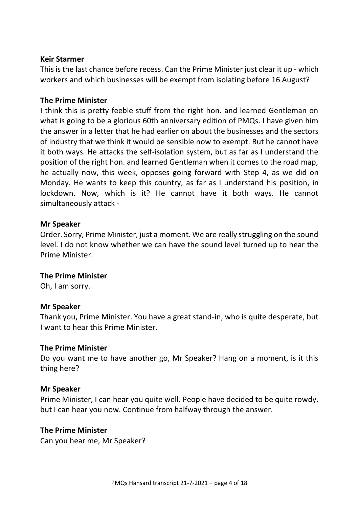#### **Keir Starmer**

This is the last chance before recess. Can the Prime Minister just clear it up - which workers and which businesses will be exempt from isolating before 16 August?

### **The Prime Minister**

I think this is pretty feeble stuff from the right hon. and learned Gentleman on what is going to be a glorious 60th anniversary edition of PMQs. I have given him the answer in a letter that he had earlier on about the businesses and the sectors of industry that we think it would be sensible now to exempt. But he cannot have it both ways. He attacks the self-isolation system, but as far as I understand the position of the right hon. and learned Gentleman when it comes to the road map, he actually now, this week, opposes going forward with Step 4, as we did on Monday. He wants to keep this country, as far as I understand his position, in lockdown. Now, which is it? He cannot have it both ways. He cannot simultaneously attack -

### **Mr Speaker**

Order. Sorry, Prime Minister, just a moment. We are really struggling on the sound level. I do not know whether we can have the sound level turned up to hear the Prime Minister.

#### **The Prime Minister**

Oh, I am sorry.

#### **Mr Speaker**

Thank you, Prime Minister. You have a great stand-in, who is quite desperate, but I want to hear this Prime Minister.

#### **The Prime Minister**

Do you want me to have another go, Mr Speaker? Hang on a moment, is it this thing here?

#### **Mr Speaker**

Prime Minister, I can hear you quite well. People have decided to be quite rowdy, but I can hear you now. Continue from halfway through the answer.

#### **The Prime Minister**

Can you hear me, Mr Speaker?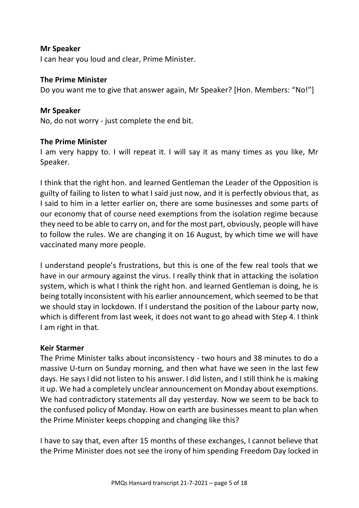#### **Mr Speaker**

I can hear you loud and clear, Prime Minister.

#### **The Prime Minister**

Do you want me to give that answer again, Mr Speaker? [Hon. Members: "No!"]

### **Mr Speaker**

No, do not worry - just complete the end bit.

### **The Prime Minister**

I am very happy to. I will repeat it. I will say it as many times as you like, Mr Speaker.

I think that the right hon. and learned Gentleman the Leader of the Opposition is guilty of failing to listen to what I said just now, and it is perfectly obvious that, as I said to him in a letter earlier on, there are some businesses and some parts of our economy that of course need exemptions from the isolation regime because they need to be able to carry on, and for the most part, obviously, people will have to follow the rules. We are changing it on 16 August, by which time we will have vaccinated many more people.

I understand people's frustrations, but this is one of the few real tools that we have in our armoury against the virus. I really think that in attacking the isolation system, which is what I think the right hon. and learned Gentleman is doing, he is being totally inconsistent with his earlier announcement, which seemed to be that we should stay in lockdown. If I understand the position of the Labour party now, which is different from last week, it does not want to go ahead with Step 4. I think I am right in that.

# **Keir Starmer**

The Prime Minister talks about inconsistency - two hours and 38 minutes to do a massive U-turn on Sunday morning, and then what have we seen in the last few days. He says I did not listen to his answer. I did listen, and I still think he is making it up. We had a completely unclear announcement on Monday about exemptions. We had contradictory statements all day yesterday. Now we seem to be back to the confused policy of Monday. How on earth are businesses meant to plan when the Prime Minister keeps chopping and changing like this?

I have to say that, even after 15 months of these exchanges, I cannot believe that the Prime Minister does not see the irony of him spending Freedom Day locked in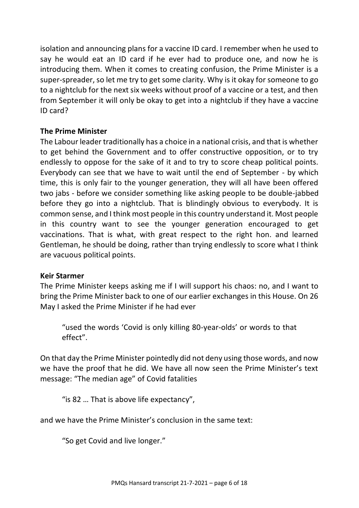isolation and announcing plans for a vaccine ID card. I remember when he used to say he would eat an ID card if he ever had to produce one, and now he is introducing them. When it comes to creating confusion, the Prime Minister is a super-spreader, so let me try to get some clarity. Why is it okay for someone to go to a nightclub for the next six weeks without proof of a vaccine or a test, and then from September it will only be okay to get into a nightclub if they have a vaccine ID card?

# **The Prime Minister**

The Labour leader traditionally has a choice in a national crisis, and that is whether to get behind the Government and to offer constructive opposition, or to try endlessly to oppose for the sake of it and to try to score cheap political points. Everybody can see that we have to wait until the end of September - by which time, this is only fair to the younger generation, they will all have been offered two jabs - before we consider something like asking people to be double-jabbed before they go into a nightclub. That is blindingly obvious to everybody. It is common sense, and I think most people in this country understand it. Most people in this country want to see the younger generation encouraged to get vaccinations. That is what, with great respect to the right hon. and learned Gentleman, he should be doing, rather than trying endlessly to score what I think are vacuous political points.

# **Keir Starmer**

The Prime Minister keeps asking me if I will support his chaos: no, and I want to bring the Prime Minister back to one of our earlier exchanges in this House. On 26 May I asked the Prime Minister if he had ever

"used the words 'Covid is only killing 80-year-olds' or words to that effect".

On that day the Prime Minister pointedly did not deny using those words, and now we have the proof that he did. We have all now seen the Prime Minister's text message: "The median age" of Covid fatalities

"is 82 … That is above life expectancy",

and we have the Prime Minister's conclusion in the same text:

"So get Covid and live longer."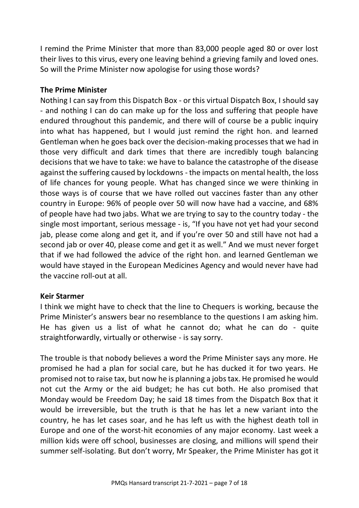I remind the Prime Minister that more than 83,000 people aged 80 or over lost their lives to this virus, every one leaving behind a grieving family and loved ones. So will the Prime Minister now apologise for using those words?

### **The Prime Minister**

Nothing I can say from this Dispatch Box - or this virtual Dispatch Box, I should say - and nothing I can do can make up for the loss and suffering that people have endured throughout this pandemic, and there will of course be a public inquiry into what has happened, but I would just remind the right hon. and learned Gentleman when he goes back over the decision-making processes that we had in those very difficult and dark times that there are incredibly tough balancing decisions that we have to take: we have to balance the catastrophe of the disease against the suffering caused by lockdowns - the impacts on mental health, the loss of life chances for young people. What has changed since we were thinking in those ways is of course that we have rolled out vaccines faster than any other country in Europe: 96% of people over 50 will now have had a vaccine, and 68% of people have had two jabs. What we are trying to say to the country today - the single most important, serious message - is, "If you have not yet had your second jab, please come along and get it, and if you're over 50 and still have not had a second jab or over 40, please come and get it as well." And we must never forget that if we had followed the advice of the right hon. and learned Gentleman we would have stayed in the European Medicines Agency and would never have had the vaccine roll-out at all.

# **Keir Starmer**

I think we might have to check that the line to Chequers is working, because the Prime Minister's answers bear no resemblance to the questions I am asking him. He has given us a list of what he cannot do; what he can do - quite straightforwardly, virtually or otherwise - is say sorry.

The trouble is that nobody believes a word the Prime Minister says any more. He promised he had a plan for social care, but he has ducked it for two years. He promised not to raise tax, but now he is planning a jobs tax. He promised he would not cut the Army or the aid budget; he has cut both. He also promised that Monday would be Freedom Day; he said 18 times from the Dispatch Box that it would be irreversible, but the truth is that he has let a new variant into the country, he has let cases soar, and he has left us with the highest death toll in Europe and one of the worst-hit economies of any major economy. Last week a million kids were off school, businesses are closing, and millions will spend their summer self-isolating. But don't worry, Mr Speaker, the Prime Minister has got it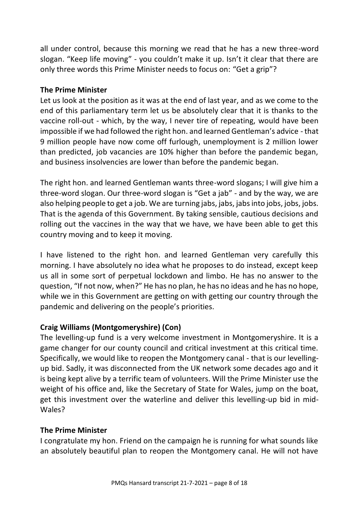all under control, because this morning we read that he has a new three-word slogan. "Keep life moving" - you couldn't make it up. Isn't it clear that there are only three words this Prime Minister needs to focus on: "Get a grip"?

### **The Prime Minister**

Let us look at the position as it was at the end of last year, and as we come to the end of this parliamentary term let us be absolutely clear that it is thanks to the vaccine roll-out - which, by the way, I never tire of repeating, would have been impossible if we had followed the right hon. and learned Gentleman's advice - that 9 million people have now come off furlough, unemployment is 2 million lower than predicted, job vacancies are 10% higher than before the pandemic began, and business insolvencies are lower than before the pandemic began.

The right hon. and learned Gentleman wants three-word slogans; I will give him a three-word slogan. Our three-word slogan is "Get a jab" - and by the way, we are also helping people to get a job. We are turning jabs, jabs, jabs into jobs, jobs, jobs. That is the agenda of this Government. By taking sensible, cautious decisions and rolling out the vaccines in the way that we have, we have been able to get this country moving and to keep it moving.

I have listened to the right hon. and learned Gentleman very carefully this morning. I have absolutely no idea what he proposes to do instead, except keep us all in some sort of perpetual lockdown and limbo. He has no answer to the question, "If not now, when?" He has no plan, he has no ideas and he has no hope, while we in this Government are getting on with getting our country through the pandemic and delivering on the people's priorities.

# **Craig Williams (Montgomeryshire) (Con)**

The levelling-up fund is a very welcome investment in Montgomeryshire. It is a game changer for our county council and critical investment at this critical time. Specifically, we would like to reopen the Montgomery canal - that is our levellingup bid. Sadly, it was disconnected from the UK network some decades ago and it is being kept alive by a terrific team of volunteers. Will the Prime Minister use the weight of his office and, like the Secretary of State for Wales, jump on the boat, get this investment over the waterline and deliver this levelling-up bid in mid-Wales?

# **The Prime Minister**

I congratulate my hon. Friend on the campaign he is running for what sounds like an absolutely beautiful plan to reopen the Montgomery canal. He will not have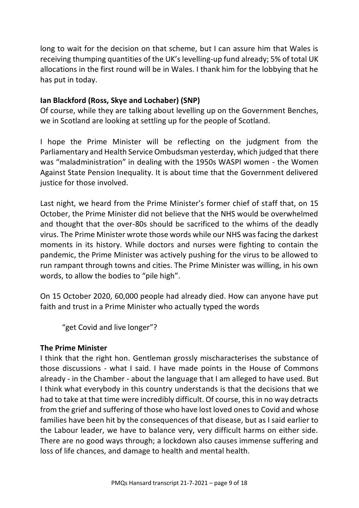long to wait for the decision on that scheme, but I can assure him that Wales is receiving thumping quantities of the UK's levelling-up fund already; 5% of total UK allocations in the first round will be in Wales. I thank him for the lobbying that he has put in today.

# **Ian Blackford (Ross, Skye and Lochaber) (SNP)**

Of course, while they are talking about levelling up on the Government Benches, we in Scotland are looking at settling up for the people of Scotland.

I hope the Prime Minister will be reflecting on the judgment from the Parliamentary and Health Service Ombudsman yesterday, which judged that there was "maladministration" in dealing with the 1950s WASPI women - the Women Against State Pension Inequality. It is about time that the Government delivered justice for those involved.

Last night, we heard from the Prime Minister's former chief of staff that, on 15 October, the Prime Minister did not believe that the NHS would be overwhelmed and thought that the over-80s should be sacrificed to the whims of the deadly virus. The Prime Minister wrote those words while our NHS was facing the darkest moments in its history. While doctors and nurses were fighting to contain the pandemic, the Prime Minister was actively pushing for the virus to be allowed to run rampant through towns and cities. The Prime Minister was willing, in his own words, to allow the bodies to "pile high".

On 15 October 2020, 60,000 people had already died. How can anyone have put faith and trust in a Prime Minister who actually typed the words

"get Covid and live longer"?

# **The Prime Minister**

I think that the right hon. Gentleman grossly mischaracterises the substance of those discussions - what I said. I have made points in the House of Commons already - in the Chamber - about the language that I am alleged to have used. But I think what everybody in this country understands is that the decisions that we had to take at that time were incredibly difficult. Of course, this in no way detracts from the grief and suffering of those who have lost loved ones to Covid and whose families have been hit by the consequences of that disease, but as I said earlier to the Labour leader, we have to balance very, very difficult harms on either side. There are no good ways through; a lockdown also causes immense suffering and loss of life chances, and damage to health and mental health.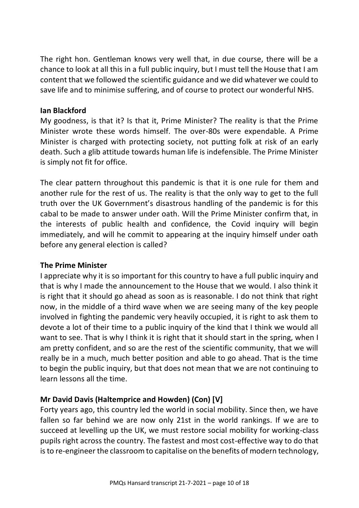The right hon. Gentleman knows very well that, in due course, there will be a chance to look at all this in a full public inquiry, but I must tell the House that I am content that we followed the scientific guidance and we did whatever we could to save life and to minimise suffering, and of course to protect our wonderful NHS.

### **Ian Blackford**

My goodness, is that it? Is that it, Prime Minister? The reality is that the Prime Minister wrote these words himself. The over-80s were expendable. A Prime Minister is charged with protecting society, not putting folk at risk of an early death. Such a glib attitude towards human life is indefensible. The Prime Minister is simply not fit for office.

The clear pattern throughout this pandemic is that it is one rule for them and another rule for the rest of us. The reality is that the only way to get to the full truth over the UK Government's disastrous handling of the pandemic is for this cabal to be made to answer under oath. Will the Prime Minister confirm that, in the interests of public health and confidence, the Covid inquiry will begin immediately, and will he commit to appearing at the inquiry himself under oath before any general election is called?

# **The Prime Minister**

I appreciate why it is so important for this country to have a full public inquiry and that is why I made the announcement to the House that we would. I also think it is right that it should go ahead as soon as is reasonable. I do not think that right now, in the middle of a third wave when we are seeing many of the key people involved in fighting the pandemic very heavily occupied, it is right to ask them to devote a lot of their time to a public inquiry of the kind that I think we would all want to see. That is why I think it is right that it should start in the spring, when I am pretty confident, and so are the rest of the scientific community, that we will really be in a much, much better position and able to go ahead. That is the time to begin the public inquiry, but that does not mean that we are not continuing to learn lessons all the time.

# **Mr David Davis (Haltemprice and Howden) (Con) [V]**

Forty years ago, this country led the world in social mobility. Since then, we have fallen so far behind we are now only 21st in the world rankings. If we are to succeed at levelling up the UK, we must restore social mobility for working-class pupils right across the country. The fastest and most cost-effective way to do that is to re-engineer the classroom to capitalise on the benefits of modern technology,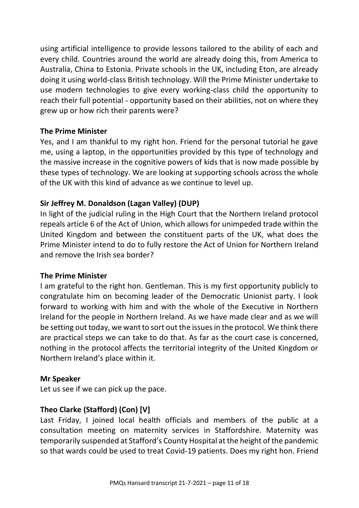using artificial intelligence to provide lessons tailored to the ability of each and every child. Countries around the world are already doing this, from America to Australia, China to Estonia. Private schools in the UK, including Eton, are already doing it using world-class British technology. Will the Prime Minister undertake to use modern technologies to give every working-class child the opportunity to reach their full potential - opportunity based on their abilities, not on where they grew up or how rich their parents were?

### **The Prime Minister**

Yes, and I am thankful to my right hon. Friend for the personal tutorial he gave me, using a laptop, in the opportunities provided by this type of technology and the massive increase in the cognitive powers of kids that is now made possible by these types of technology. We are looking at supporting schools across the whole of the UK with this kind of advance as we continue to level up.

# **Sir Jeffrey M. Donaldson (Lagan Valley) (DUP)**

In light of the judicial ruling in the High Court that the Northern Ireland protocol repeals article 6 of the Act of Union, which allows for unimpeded trade within the United Kingdom and between the constituent parts of the UK, what does the Prime Minister intend to do to fully restore the Act of Union for Northern Ireland and remove the Irish sea border?

# **The Prime Minister**

I am grateful to the right hon. Gentleman. This is my first opportunity publicly to congratulate him on becoming leader of the Democratic Unionist party. I look forward to working with him and with the whole of the Executive in Northern Ireland for the people in Northern Ireland. As we have made clear and as we will be setting out today, we want to sort out the issues in the protocol. We think there are practical steps we can take to do that. As far as the court case is concerned, nothing in the protocol affects the territorial integrity of the United Kingdom or Northern Ireland's place within it.

#### **Mr Speaker**

Let us see if we can pick up the pace.

# **Theo Clarke (Stafford) (Con) [V]**

Last Friday, I joined local health officials and members of the public at a consultation meeting on maternity services in Staffordshire. Maternity was temporarily suspended at Stafford's County Hospital at the height of the pandemic so that wards could be used to treat Covid-19 patients. Does my right hon. Friend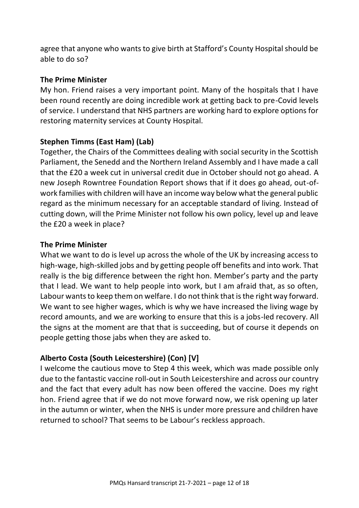agree that anyone who wants to give birth at Stafford's County Hospital should be able to do so?

### **The Prime Minister**

My hon. Friend raises a very important point. Many of the hospitals that I have been round recently are doing incredible work at getting back to pre-Covid levels of service. I understand that NHS partners are working hard to explore options for restoring maternity services at County Hospital.

# **Stephen Timms (East Ham) (Lab)**

Together, the Chairs of the Committees dealing with social security in the Scottish Parliament, the Senedd and the Northern Ireland Assembly and I have made a call that the £20 a week cut in universal credit due in October should not go ahead. A new Joseph Rowntree Foundation Report shows that if it does go ahead, out-ofwork families with children will have an income way below what the general public regard as the minimum necessary for an acceptable standard of living. Instead of cutting down, will the Prime Minister not follow his own policy, level up and leave the £20 a week in place?

### **The Prime Minister**

What we want to do is level up across the whole of the UK by increasing access to high-wage, high-skilled jobs and by getting people off benefits and into work. That really is the big difference between the right hon. Member's party and the party that I lead. We want to help people into work, but I am afraid that, as so often, Labour wants to keep them on welfare. I do not think that is the right way forward. We want to see higher wages, which is why we have increased the living wage by record amounts, and we are working to ensure that this is a jobs-led recovery. All the signs at the moment are that that is succeeding, but of course it depends on people getting those jabs when they are asked to.

# **Alberto Costa (South Leicestershire) (Con) [V]**

I welcome the cautious move to Step 4 this week, which was made possible only due to the fantastic vaccine roll-out in South Leicestershire and across our country and the fact that every adult has now been offered the vaccine. Does my right hon. Friend agree that if we do not move forward now, we risk opening up later in the autumn or winter, when the NHS is under more pressure and children have returned to school? That seems to be Labour's reckless approach.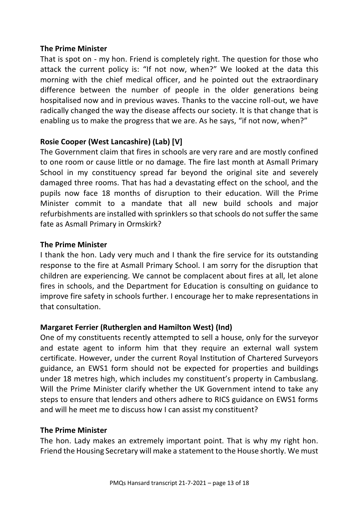#### **The Prime Minister**

That is spot on - my hon. Friend is completely right. The question for those who attack the current policy is: "If not now, when?" We looked at the data this morning with the chief medical officer, and he pointed out the extraordinary difference between the number of people in the older generations being hospitalised now and in previous waves. Thanks to the vaccine roll-out, we have radically changed the way the disease affects our society. It is that change that is enabling us to make the progress that we are. As he says, "if not now, when?"

# **Rosie Cooper (West Lancashire) (Lab) [V]**

The Government claim that fires in schools are very rare and are mostly confined to one room or cause little or no damage. The fire last month at Asmall Primary School in my constituency spread far beyond the original site and severely damaged three rooms. That has had a devastating effect on the school, and the pupils now face 18 months of disruption to their education. Will the Prime Minister commit to a mandate that all new build schools and major refurbishments are installed with sprinklers so that schools do not suffer the same fate as Asmall Primary in Ormskirk?

### **The Prime Minister**

I thank the hon. Lady very much and I thank the fire service for its outstanding response to the fire at Asmall Primary School. I am sorry for the disruption that children are experiencing. We cannot be complacent about fires at all, let alone fires in schools, and the Department for Education is consulting on guidance to improve fire safety in schools further. I encourage her to make representations in that consultation.

# **Margaret Ferrier (Rutherglen and Hamilton West) (Ind)**

One of my constituents recently attempted to sell a house, only for the surveyor and estate agent to inform him that they require an external wall system certificate. However, under the current Royal Institution of Chartered Surveyors guidance, an EWS1 form should not be expected for properties and buildings under 18 metres high, which includes my constituent's property in Cambuslang. Will the Prime Minister clarify whether the UK Government intend to take any steps to ensure that lenders and others adhere to RICS guidance on EWS1 forms and will he meet me to discuss how I can assist my constituent?

# **The Prime Minister**

The hon. Lady makes an extremely important point. That is why my right hon. Friend the Housing Secretary will make a statement to the House shortly. We must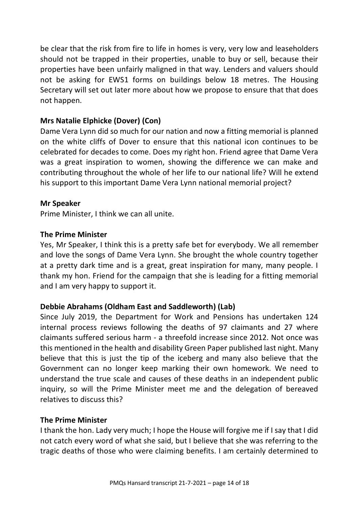be clear that the risk from fire to life in homes is very, very low and leaseholders should not be trapped in their properties, unable to buy or sell, because their properties have been unfairly maligned in that way. Lenders and valuers should not be asking for EWS1 forms on buildings below 18 metres. The Housing Secretary will set out later more about how we propose to ensure that that does not happen.

# **Mrs Natalie Elphicke (Dover) (Con)**

Dame Vera Lynn did so much for our nation and now a fitting memorial is planned on the white cliffs of Dover to ensure that this national icon continues to be celebrated for decades to come. Does my right hon. Friend agree that Dame Vera was a great inspiration to women, showing the difference we can make and contributing throughout the whole of her life to our national life? Will he extend his support to this important Dame Vera Lynn national memorial project?

### **Mr Speaker**

Prime Minister, I think we can all unite.

#### **The Prime Minister**

Yes, Mr Speaker, I think this is a pretty safe bet for everybody. We all remember and love the songs of Dame Vera Lynn. She brought the whole country together at a pretty dark time and is a great, great inspiration for many, many people. I thank my hon. Friend for the campaign that she is leading for a fitting memorial and I am very happy to support it.

# **Debbie Abrahams (Oldham East and Saddleworth) (Lab)**

Since July 2019, the Department for Work and Pensions has undertaken 124 internal process reviews following the deaths of 97 claimants and 27 where claimants suffered serious harm - a threefold increase since 2012. Not once was this mentioned in the health and disability Green Paper published last night. Many believe that this is just the tip of the iceberg and many also believe that the Government can no longer keep marking their own homework. We need to understand the true scale and causes of these deaths in an independent public inquiry, so will the Prime Minister meet me and the delegation of bereaved relatives to discuss this?

#### **The Prime Minister**

I thank the hon. Lady very much; I hope the House will forgive me if I say that I did not catch every word of what she said, but I believe that she was referring to the tragic deaths of those who were claiming benefits. I am certainly determined to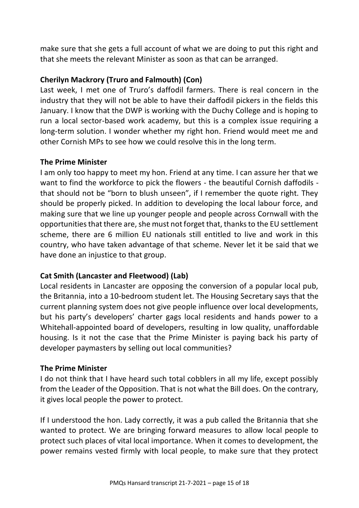make sure that she gets a full account of what we are doing to put this right and that she meets the relevant Minister as soon as that can be arranged.

# **Cherilyn Mackrory (Truro and Falmouth) (Con)**

Last week, I met one of Truro's daffodil farmers. There is real concern in the industry that they will not be able to have their daffodil pickers in the fields this January. I know that the DWP is working with the Duchy College and is hoping to run a local sector-based work academy, but this is a complex issue requiring a long-term solution. I wonder whether my right hon. Friend would meet me and other Cornish MPs to see how we could resolve this in the long term.

# **The Prime Minister**

I am only too happy to meet my hon. Friend at any time. I can assure her that we want to find the workforce to pick the flowers - the beautiful Cornish daffodils that should not be "born to blush unseen", if I remember the quote right. They should be properly picked. In addition to developing the local labour force, and making sure that we line up younger people and people across Cornwall with the opportunities that there are, she must not forget that, thanks to the EU settlement scheme, there are 6 million EU nationals still entitled to live and work in this country, who have taken advantage of that scheme. Never let it be said that we have done an injustice to that group.

# **Cat Smith (Lancaster and Fleetwood) (Lab)**

Local residents in Lancaster are opposing the conversion of a popular local pub, the Britannia, into a 10-bedroom student let. The Housing Secretary says that the current planning system does not give people influence over local developments, but his party's developers' charter gags local residents and hands power to a Whitehall-appointed board of developers, resulting in low quality, unaffordable housing. Is it not the case that the Prime Minister is paying back his party of developer paymasters by selling out local communities?

# **The Prime Minister**

I do not think that I have heard such total cobblers in all my life, except possibly from the Leader of the Opposition. That is not what the Bill does. On the contrary, it gives local people the power to protect.

If I understood the hon. Lady correctly, it was a pub called the Britannia that she wanted to protect. We are bringing forward measures to allow local people to protect such places of vital local importance. When it comes to development, the power remains vested firmly with local people, to make sure that they protect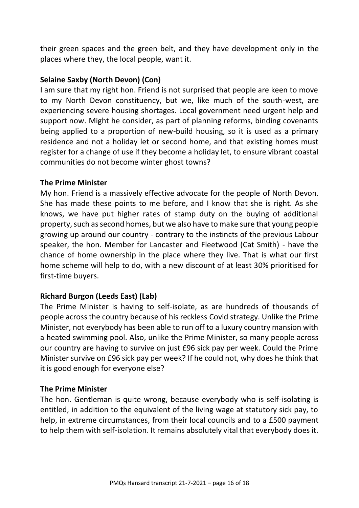their green spaces and the green belt, and they have development only in the places where they, the local people, want it.

### **Selaine Saxby (North Devon) (Con)**

I am sure that my right hon. Friend is not surprised that people are keen to move to my North Devon constituency, but we, like much of the south-west, are experiencing severe housing shortages. Local government need urgent help and support now. Might he consider, as part of planning reforms, binding covenants being applied to a proportion of new-build housing, so it is used as a primary residence and not a holiday let or second home, and that existing homes must register for a change of use if they become a holiday let, to ensure vibrant coastal communities do not become winter ghost towns?

#### **The Prime Minister**

My hon. Friend is a massively effective advocate for the people of North Devon. She has made these points to me before, and I know that she is right. As she knows, we have put higher rates of stamp duty on the buying of additional property, such as second homes, but we also have to make sure that young people growing up around our country - contrary to the instincts of the previous Labour speaker, the hon. Member for Lancaster and Fleetwood (Cat Smith) - have the chance of home ownership in the place where they live. That is what our first home scheme will help to do, with a new discount of at least 30% prioritised for first-time buyers.

#### **Richard Burgon (Leeds East) (Lab)**

The Prime Minister is having to self-isolate, as are hundreds of thousands of people across the country because of his reckless Covid strategy. Unlike the Prime Minister, not everybody has been able to run off to a luxury country mansion with a heated swimming pool. Also, unlike the Prime Minister, so many people across our country are having to survive on just £96 sick pay per week. Could the Prime Minister survive on £96 sick pay per week? If he could not, why does he think that it is good enough for everyone else?

#### **The Prime Minister**

The hon. Gentleman is quite wrong, because everybody who is self-isolating is entitled, in addition to the equivalent of the living wage at statutory sick pay, to help, in extreme circumstances, from their local councils and to a £500 payment to help them with self-isolation. It remains absolutely vital that everybody does it.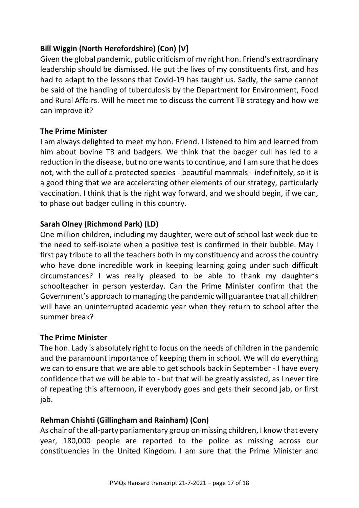# **Bill Wiggin (North Herefordshire) (Con) [V]**

Given the global pandemic, public criticism of my right hon. Friend's extraordinary leadership should be dismissed. He put the lives of my constituents first, and has had to adapt to the lessons that Covid-19 has taught us. Sadly, the same cannot be said of the handing of tuberculosis by the Department for Environment, Food and Rural Affairs. Will he meet me to discuss the current TB strategy and how we can improve it?

# **The Prime Minister**

I am always delighted to meet my hon. Friend. I listened to him and learned from him about bovine TB and badgers. We think that the badger cull has led to a reduction in the disease, but no one wants to continue, and I am sure that he does not, with the cull of a protected species - beautiful mammals - indefinitely, so it is a good thing that we are accelerating other elements of our strategy, particularly vaccination. I think that is the right way forward, and we should begin, if we can, to phase out badger culling in this country.

# **Sarah Olney (Richmond Park) (LD)**

One million children, including my daughter, were out of school last week due to the need to self-isolate when a positive test is confirmed in their bubble. May I first pay tribute to all the teachers both in my constituency and across the country who have done incredible work in keeping learning going under such difficult circumstances? I was really pleased to be able to thank my daughter's schoolteacher in person yesterday. Can the Prime Minister confirm that the Government's approach to managing the pandemic will guarantee that all children will have an uninterrupted academic year when they return to school after the summer break?

# **The Prime Minister**

The hon. Lady is absolutely right to focus on the needs of children in the pandemic and the paramount importance of keeping them in school. We will do everything we can to ensure that we are able to get schools back in September - I have every confidence that we will be able to - but that will be greatly assisted, as I never tire of repeating this afternoon, if everybody goes and gets their second jab, or first jab.

# **Rehman Chishti (Gillingham and Rainham) (Con)**

As chair of the all-party parliamentary group on missing children, I know that every year, 180,000 people are reported to the police as missing across our constituencies in the United Kingdom. I am sure that the Prime Minister and